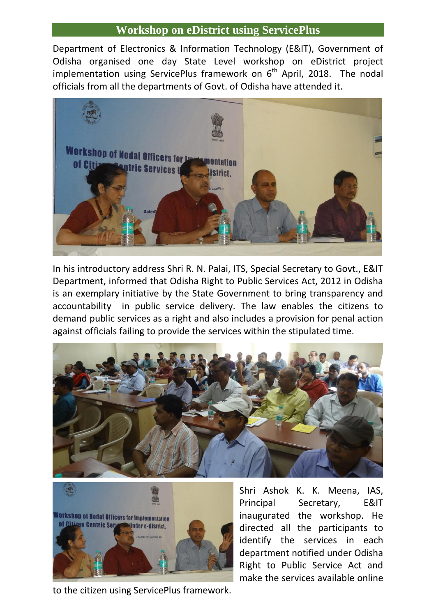## **Workshop on eDistrict using ServicePlus**

Department of Electronics & Information Technology (E&IT), Government of Odisha organised one day State Level workshop on eDistrict project implementation using ServicePlus framework on  $6<sup>th</sup>$  April, 2018. The nodal officials from all the departments of Govt. of Odisha have attended it.



In his introductory address Shri R. N. Palai, ITS, Special Secretary to Govt., E&IT Department, informed that Odisha Right to Public Services Act, 2012 in Odisha is an exemplary initiative by the State Government to bring transparency and accountability in public service delivery. The law enables the citizens to demand public services as a right and also includes a provision for penal action against officials failing to provide the services within the stipulated time.





Shri Ashok K. K. Meena, IAS, Principal Secretary, E&IT inaugurated the workshop. He directed all the participants to identify the services in each department notified under Odisha Right to Public Service Act and make the services available online

to the citizen using ServicePlus framework.